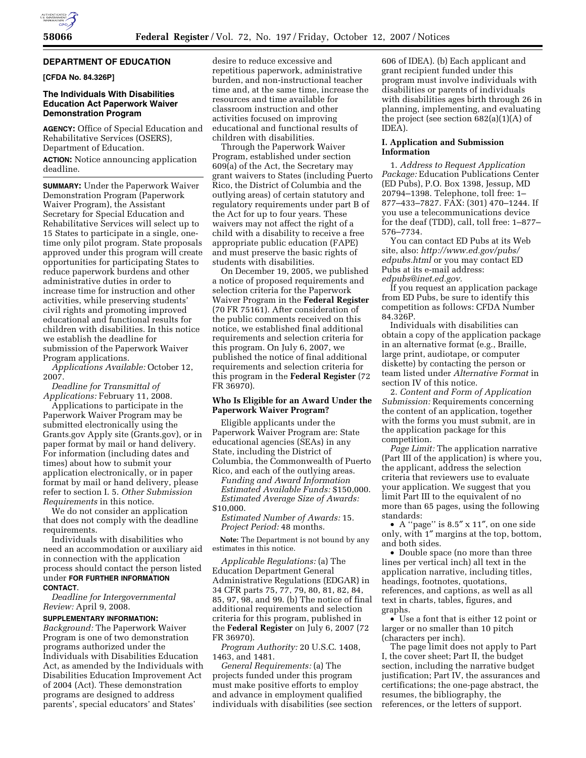

### **DEPARTMENT OF EDUCATION**

**[CFDA No. 84.326P]** 

## **The Individuals With Disabilities Education Act Paperwork Waiver Demonstration Program**

**AGENCY:** Office of Special Education and Rehabilitative Services (OSERS), Department of Education.

**ACTION:** Notice announcing application deadline.

**SUMMARY:** Under the Paperwork Waiver Demonstration Program (Paperwork Waiver Program), the Assistant Secretary for Special Education and Rehabilitative Services will select up to 15 States to participate in a single, onetime only pilot program. State proposals approved under this program will create opportunities for participating States to reduce paperwork burdens and other administrative duties in order to increase time for instruction and other activities, while preserving students' civil rights and promoting improved educational and functional results for children with disabilities. In this notice we establish the deadline for submission of the Paperwork Waiver Program applications.

*Applications Available:* October 12, 2007.

*Deadline for Transmittal of Applications:* February 11, 2008.

Applications to participate in the Paperwork Waiver Program may be submitted electronically using the Grants.gov Apply site (Grants.gov), or in paper format by mail or hand delivery. For information (including dates and times) about how to submit your application electronically, or in paper format by mail or hand delivery, please refer to section I. 5. *Other Submission Requirements* in this notice.

We do not consider an application that does not comply with the deadline requirements.

Individuals with disabilities who need an accommodation or auxiliary aid in connection with the application process should contact the person listed under **FOR FURTHER INFORMATION CONTACT**.

*Deadline for Intergovernmental Review:* April 9, 2008.

## **SUPPLEMENTARY INFORMATION:**

*Background:* The Paperwork Waiver Program is one of two demonstration programs authorized under the Individuals with Disabilities Education Act, as amended by the Individuals with Disabilities Education Improvement Act of 2004 (Act). These demonstration programs are designed to address parents', special educators' and States'

desire to reduce excessive and repetitious paperwork, administrative burden, and non-instructional teacher time and, at the same time, increase the resources and time available for classroom instruction and other activities focused on improving educational and functional results of children with disabilities.

Through the Paperwork Waiver Program, established under section 609(a) of the Act, the Secretary may grant waivers to States (including Puerto Rico, the District of Columbia and the outlying areas) of certain statutory and regulatory requirements under part B of the Act for up to four years. These waivers may not affect the right of a child with a disability to receive a free appropriate public education (FAPE) and must preserve the basic rights of students with disabilities.

On December 19, 2005, we published a notice of proposed requirements and selection criteria for the Paperwork Waiver Program in the **Federal Register**  (70 FR 75161). After consideration of the public comments received on this notice, we established final additional requirements and selection criteria for this program. On July 6, 2007, we published the notice of final additional requirements and selection criteria for this program in the **Federal Register** (72 FR 36970).

## **Who Is Eligible for an Award Under the Paperwork Waiver Program?**

Eligible applicants under the Paperwork Waiver Program are: State educational agencies (SEAs) in any State, including the District of Columbia, the Commonwealth of Puerto Rico, and each of the outlying areas. *Funding and Award Information Estimated Available Funds:* \$150,000. *Estimated Average Size of Awards:*  \$10,000. *Estimated Number of Awards:* 15.

*Project Period:* 48 months.

**Note:** The Department is not bound by any estimates in this notice.

*Applicable Regulations:* (a) The Education Department General Administrative Regulations (EDGAR) in 34 CFR parts 75, 77, 79, 80, 81, 82, 84, 85, 97, 98, and 99. (b) The notice of final additional requirements and selection criteria for this program, published in the **Federal Register** on July 6, 2007 (72 FR 36970).

*Program Authority:* 20 U.S.C. 1408, 1463, and 1481.

*General Requirements:* (a) The projects funded under this program must make positive efforts to employ and advance in employment qualified individuals with disabilities (see section

606 of IDEA). (b) Each applicant and grant recipient funded under this program must involve individuals with disabilities or parents of individuals with disabilities ages birth through 26 in planning, implementing, and evaluating the project (see section 682(a)(1)(A) of IDEA).

#### **I. Application and Submission Information**

1. *Address to Request Application Package:* Education Publications Center (ED Pubs), P.O. Box 1398, Jessup, MD 20794–1398. Telephone, toll free: 1– 877–433–7827. FAX: (301) 470–1244. If you use a telecommunications device for the deaf (TDD), call, toll free: 1–877– 576–7734.

You can contact ED Pubs at its Web site, also: *http://www.ed.gov/pubs/ edpubs.html* or you may contact ED Pubs at its e-mail address: *edpubs@inet.ed.gov.* 

If you request an application package from ED Pubs, be sure to identify this competition as follows: CFDA Number 84.326P.

Individuals with disabilities can obtain a copy of the application package in an alternative format (e.g., Braille, large print, audiotape, or computer diskette) by contacting the person or team listed under *Alternative Format* in section IV of this notice.

2. *Content and Form of Application Submission:* Requirements concerning the content of an application, together with the forms you must submit, are in the application package for this competition.

*Page Limit:* The application narrative (Part III of the application) is where you, the applicant, address the selection criteria that reviewers use to evaluate your application. We suggest that you limit Part III to the equivalent of no more than 65 pages, using the following standards:

• A ''page'' is 8.5″ x 11″, on one side only, with 1″ margins at the top, bottom, and both sides.

• Double space (no more than three lines per vertical inch) all text in the application narrative, including titles, headings, footnotes, quotations, references, and captions, as well as all text in charts, tables, figures, and graphs.

• Use a font that is either 12 point or larger or no smaller than 10 pitch (characters per inch).

The page limit does not apply to Part I, the cover sheet; Part II, the budget section, including the narrative budget justification; Part IV, the assurances and certifications; the one-page abstract, the resumes, the bibliography, the references, or the letters of support.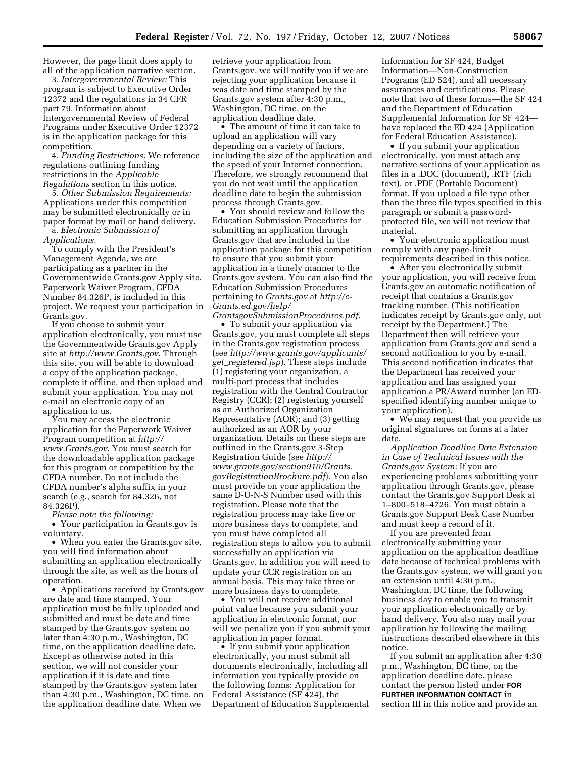However, the page limit does apply to all of the application narrative section.

3. *Intergovernmental Review:* This program is subject to Executive Order 12372 and the regulations in 34 CFR part 79. Information about Intergovernmental Review of Federal Programs under Executive Order 12372 is in the application package for this competition.

4. *Funding Restrictions:* We reference regulations outlining funding restrictions in the *Applicable Regulations* section in this notice.

5. *Other Submission Requirements:*  Applications under this competition may be submitted electronically or in paper format by mail or hand delivery. a. *Electronic Submission of* 

*Applications.* 

To comply with the President's Management Agenda, we are participating as a partner in the Governmentwide Grants.gov Apply site. Paperwork Waiver Program, CFDA Number 84.326P, is included in this project. We request your participation in Grants.gov.

If you choose to submit your application electronically, you must use the Governmentwide Grants.gov Apply site at *http://www.Grants.gov*. Through this site, you will be able to download a copy of the application package, complete it offline, and then upload and submit your application. You may not e-mail an electronic copy of an application to us.

You may access the electronic application for the Paperwork Waiver Program competition at *http:// www.Grants.gov*. You must search for the downloadable application package for this program or competition by the CFDA number. Do not include the CFDA number's alpha suffix in your search (e.g., search for 84.326, not 84.326P).

*Please note the following:* 

• Your participation in Grants.gov is voluntary.

• When you enter the Grants.gov site, you will find information about submitting an application electronically through the site, as well as the hours of operation.

• Applications received by Grants.gov are date and time stamped. Your application must be fully uploaded and submitted and must be date and time stamped by the Grants.gov system no later than 4:30 p.m., Washington, DC time, on the application deadline date. Except as otherwise noted in this section, we will not consider your application if it is date and time stamped by the Grants.gov system later than 4:30 p.m., Washington, DC time, on the application deadline date. When we

retrieve your application from Grants.gov, we will notify you if we are rejecting your application because it was date and time stamped by the Grants.gov system after 4:30 p.m., Washington, DC time, on the application deadline date.

• The amount of time it can take to upload an application will vary depending on a variety of factors, including the size of the application and the speed of your Internet connection. Therefore, we strongly recommend that you do not wait until the application deadline date to begin the submission process through Grants.gov.

• You should review and follow the Education Submission Procedures for submitting an application through Grants.gov that are included in the application package for this competition to ensure that you submit your application in a timely manner to the Grants.gov system. You can also find the Education Submission Procedures pertaining to *Grants.gov* at *http://e-Grants.ed.gov/help/* 

*GrantsgovSubmissionProcedures.pdf.*  • To submit your application via Grants.gov, you must complete all steps in the Grants.gov registration process (see *http://www.grants.gov/applicants/ get*\_*registered.jsp*). These steps include (1) registering your organization, a multi-part process that includes registration with the Central Contractor Registry (CCR); (2) registering yourself as an Authorized Organization Representative (AOR); and (3) getting authorized as an AOR by your organization. Details on these steps are outlined in the Grants.gov 3-Step Registration Guide (see *http:// www.grants.gov/section910/Grants. govRegistrationBrochure.pdf*). You also must provide on your application the same D-U-N-S Number used with this registration. Please note that the registration process may take five or more business days to complete, and you must have completed all registration steps to allow you to submit successfully an application via Grants.gov. In addition you will need to update your CCR registration on an annual basis. This may take three or more business days to complete.

• You will not receive additional point value because you submit your application in electronic format, nor will we penalize you if you submit your application in paper format.

• If you submit your application electronically, you must submit all documents electronically, including all information you typically provide on the following forms: Application for Federal Assistance (SF 424), the Department of Education Supplemental Information for SF 424, Budget Information—Non-Construction Programs (ED 524), and all necessary assurances and certifications. Please note that two of these forms—the SF 424 and the Department of Education Supplemental Information for SF 424 have replaced the ED 424 (Application for Federal Education Assistance).

• If you submit your application electronically, you must attach any narrative sections of your application as files in a .DOC (document), .RTF (rich text), or .PDF (Portable Document) format. If you upload a file type other than the three file types specified in this paragraph or submit a passwordprotected file, we will not review that material.

• Your electronic application must comply with any page-limit requirements described in this notice.

• After you electronically submit your application, you will receive from Grants.gov an automatic notification of receipt that contains a Grants.gov tracking number. (This notification indicates receipt by Grants.gov only, not receipt by the Department.) The Department then will retrieve your application from Grants.gov and send a second notification to you by e-mail. This second notification indicates that the Department has received your application and has assigned your application a PR/Award number (an EDspecified identifying number unique to your application).

• We may request that you provide us original signatures on forms at a later date.

*Application Deadline Date Extension in Case of Technical Issues with the Grants.gov System:* If you are experiencing problems submitting your application through Grants.gov, please contact the Grants.gov Support Desk at 1–800–518–4726. You must obtain a Grants.gov Support Desk Case Number and must keep a record of it.

If you are prevented from electronically submitting your application on the application deadline date because of technical problems with the Grants.gov system, we will grant you an extension until 4:30 p.m., Washington, DC time, the following business day to enable you to transmit your application electronically or by hand delivery. You also may mail your application by following the mailing instructions described elsewhere in this notice.

If you submit an application after 4:30 p.m., Washington, DC time, on the application deadline date, please contact the person listed under **FOR FURTHER INFORMATION CONTACT** in section III in this notice and provide an